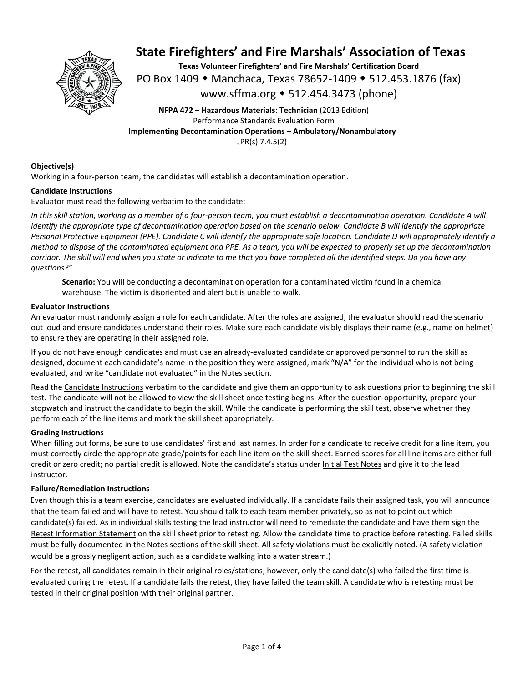

**Texas Volunteer Firefighters' and Fire Marshals' Certification Board**  PO Box 1409 ◆ Manchaca, Texas 78652-1409 ◆ 512.453.1876 (fax) www.sffma.org 512.454.3473 (phone)

**NFPA 472 – Hazardous Materials: Technician** (2013 Edition) Performance Standards Evaluation Form **Implementing Decontamination Operations – Ambulatory/Nonambulatory**  JPR(s) 7.4.5(2)

### **Objective(s)**

Working in a four-person team, the candidates will establish a decontamination operation.

### **Candidate Instructions**

Evaluator must read the following verbatim to the candidate:

*In this skill station, working as a member of a four‐person team, you must establish a decontamination operation. Candidate A will identify the appropriate type of decontamination operation based on the scenario below. Candidate B will identify the appropriate Personal Protective Equipment (PPE). Candidate C will identify the appropriate safe location. Candidate D will appropriately identify a method to dispose of the contaminated equipment and PPE. As a team, you will be expected to properly set up the decontamination corridor. The skill will end when you state or indicate to me that you have completed all the identified steps. Do you have any questions?"* 

**Scenario:** You will be conducting a decontamination operation for a contaminated victim found in a chemical warehouse. The victim is disoriented and alert but is unable to walk.

### **Evaluator Instructions**

An evaluator must randomly assign a role for each candidate. After the roles are assigned, the evaluator should read the scenario out loud and ensure candidates understand their roles. Make sure each candidate visibly displays their name (e.g., name on helmet) to ensure they are operating in their assigned role.

If you do not have enough candidates and must use an already‐evaluated candidate or approved personnel to run the skill as designed, document each candidate's name in the position they were assigned, mark "N/A" for the individual who is not being evaluated, and write "candidate not evaluated" in the Notes section.

Read the Candidate Instructions verbatim to the candidate and give them an opportunity to ask questions prior to beginning the skill test. The candidate will not be allowed to view the skill sheet once testing begins. After the question opportunity, prepare your stopwatch and instruct the candidate to begin the skill. While the candidate is performing the skill test, observe whether they perform each of the line items and mark the skill sheet appropriately.

### **Grading Instructions**

When filling out forms, be sure to use candidates' first and last names. In order for a candidate to receive credit for a line item, you must correctly circle the appropriate grade/points for each line item on the skill sheet. Earned scores for all line items are either full credit or zero credit; no partial credit is allowed. Note the candidate's status under Initial Test Notes and give it to the lead instructor.

### **Failure/Remediation Instructions**

Even though this is a team exercise, candidates are evaluated individually. If a candidate fails their assigned task, you will announce that the team failed and will have to retest. You should talk to each team member privately, so as not to point out which candidate(s) failed. As in individual skills testing the lead instructor will need to remediate the candidate and have them sign the Retest Information Statement on the skill sheet prior to retesting. Allow the candidate time to practice before retesting. Failed skills must be fully documented in the Notes sections of the skill sheet. All safety violations must be explicitly noted. (A safety violation would be a grossly negligent action, such as a candidate walking into a water stream.)

For the retest, all candidates remain in their original roles/stations; however, only the candidate(s) who failed the first time is evaluated during the retest. If a candidate fails the retest, they have failed the team skill. A candidate who is retesting must be tested in their original position with their original partner.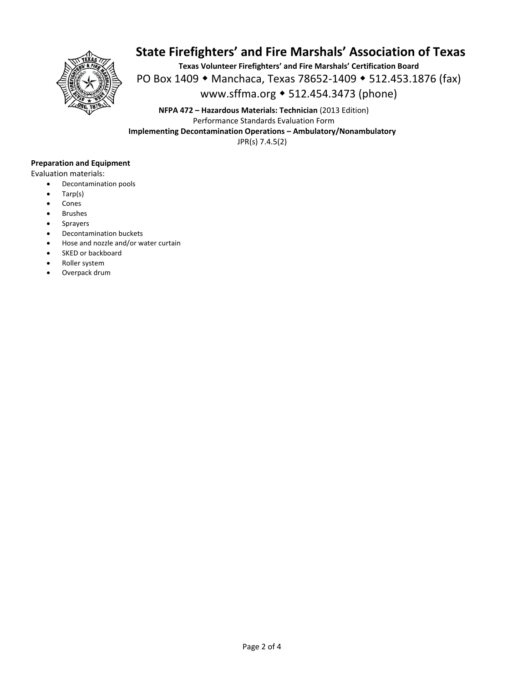

**Texas Volunteer Firefighters' and Fire Marshals' Certification Board**  PO Box 1409 ◆ Manchaca, Texas 78652-1409 ◆ 512.453.1876 (fax) www.sffma.org 512.454.3473 (phone)

**NFPA 472 – Hazardous Materials: Technician** (2013 Edition) Performance Standards Evaluation Form **Implementing Decontamination Operations – Ambulatory/Nonambulatory**  JPR(s) 7.4.5(2)

### **Preparation and Equipment**

Evaluation materials:

- Decontamination pools
- Tarp(s)
- Cones
- Brushes
- Sprayers
- Decontamination buckets
- Hose and nozzle and/or water curtain
- SKED or backboard
- Roller system
- Overpack drum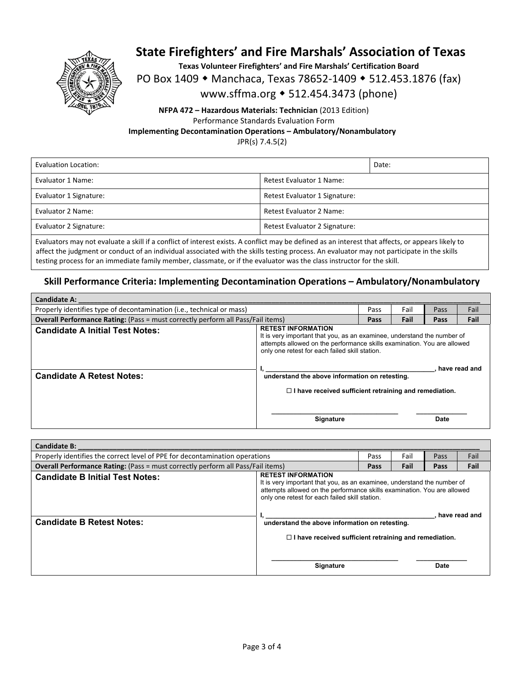

**Texas Volunteer Firefighters' and Fire Marshals' Certification Board** 

PO Box 1409 • Manchaca, Texas 78652-1409 • 512.453.1876 (fax)

www.sffma.org 512.454.3473 (phone)

### **NFPA 472 – Hazardous Materials: Technician** (2013 Edition) Performance Standards Evaluation Form **Implementing Decontamination Operations – Ambulatory/Nonambulatory**

JPR(s) 7.4.5(2)

| Evaluation Location:   |                               | Date: |  |  |
|------------------------|-------------------------------|-------|--|--|
| Evaluator 1 Name:      | Retest Evaluator 1 Name:      |       |  |  |
| Evaluator 1 Signature: | Retest Evaluator 1 Signature: |       |  |  |
| Evaluator 2 Name:      | Retest Evaluator 2 Name:      |       |  |  |
| Evaluator 2 Signature: | Retest Evaluator 2 Signature: |       |  |  |
|                        |                               |       |  |  |

Evaluators may not evaluate a skill if a conflict of interest exists. A conflict may be defined as an interest that affects, or appears likely to affect the judgment or conduct of an individual associated with the skills testing process. An evaluator may not participate in the skills testing process for an immediate family member, classmate, or if the evaluator was the class instructor for the skill.

### **Skill Performance Criteria: Implementing Decontamination Operations – Ambulatory/Nonambulatory**

| <b>Candidate A:</b>                                                                    |                                                                                                                                                                                                                                                                                     |             |      |      |               |
|----------------------------------------------------------------------------------------|-------------------------------------------------------------------------------------------------------------------------------------------------------------------------------------------------------------------------------------------------------------------------------------|-------------|------|------|---------------|
| Properly identifies type of decontamination (i.e., technical or mass)                  |                                                                                                                                                                                                                                                                                     | Pass        | Fail | Pass | Fail          |
| <b>Overall Performance Rating:</b> (Pass = must correctly perform all Pass/Fail items) |                                                                                                                                                                                                                                                                                     | <b>Pass</b> | Fail | Pass | Fail          |
| <b>Candidate A Initial Test Notes:</b>                                                 | <b>RETEST INFORMATION</b><br>It is very important that you, as an examinee, understand the number of<br>attempts allowed on the performance skills examination. You are allowed<br>only one retest for each failed skill station.<br>understand the above information on retesting. |             |      |      |               |
| <b>Candidate A Retest Notes:</b>                                                       |                                                                                                                                                                                                                                                                                     |             |      |      | have read and |
|                                                                                        | $\Box$ I have received sufficient retraining and remediation.                                                                                                                                                                                                                       |             |      |      |               |
|                                                                                        | <b>Signature</b>                                                                                                                                                                                                                                                                    |             |      | Date |               |

| <b>Candidate B:</b>                                                                    |                                                                                                                                                                                                                                   |      |      |      |      |
|----------------------------------------------------------------------------------------|-----------------------------------------------------------------------------------------------------------------------------------------------------------------------------------------------------------------------------------|------|------|------|------|
| Properly identifies the correct level of PPE for decontamination operations            |                                                                                                                                                                                                                                   | Pass | Fail | Pass | Fail |
| <b>Overall Performance Rating:</b> (Pass = must correctly perform all Pass/Fail items) |                                                                                                                                                                                                                                   | Pass | Fail | Pass | Fail |
| <b>Candidate B Initial Test Notes:</b>                                                 | <b>RETEST INFORMATION</b><br>It is very important that you, as an examinee, understand the number of<br>attempts allowed on the performance skills examination. You are allowed<br>only one retest for each failed skill station. |      |      |      |      |
| <b>Candidate B Retest Notes:</b>                                                       | have read and<br>understand the above information on retesting.                                                                                                                                                                   |      |      |      |      |
|                                                                                        | $\Box$ I have received sufficient retraining and remediation.                                                                                                                                                                     |      |      |      |      |
|                                                                                        | <b>Signature</b>                                                                                                                                                                                                                  |      |      | Date |      |